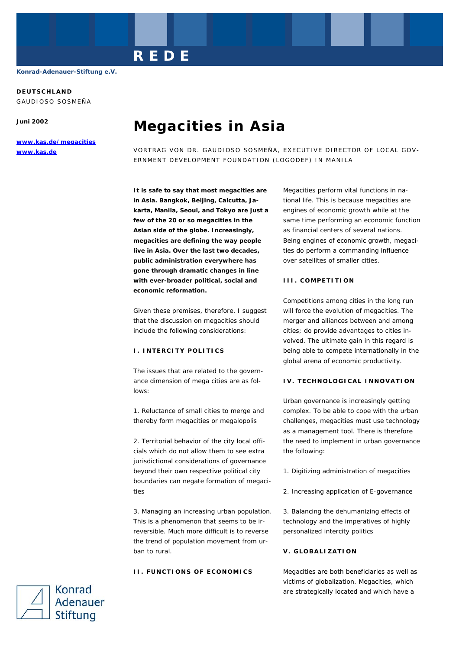**DEUTSCHLAND** 

GAUDIOSO SOSMEÑA

**Juni 2002** 

**www.kas.de/megacities www.kas.de**

# **Megacities in Asia**

**REDE** 

VORTRAG VON DR. GAUDIOSO SOSMEÑA, EXECUTIVE DIRECTOR OF LOCAL GOV-ERNMENT DEVELOPMENT FOUNDATION (LOGODEF) IN MANILA

**It is safe to say that most megacities are in Asia. Bangkok, Beijing, Calcutta, Jakarta, Manila, Seoul, and Tokyo are just a few of the 20 or so megacities in the Asian side of the globe. Increasingly, megacities are defining the way people live in Asia. Over the last two decades, public administration everywhere has gone through dramatic changes in line with ever-broader political, social and economic reformation.** 

Given these premises, therefore, I suggest that the discussion on megacities should include the following considerations:

### **I. INTERCITY POLITICS**

The issues that are related to the governance dimension of mega cities are as follows:

1. Reluctance of small cities to merge and thereby form megacities or megalopolis

2. Territorial behavior of the city local officials which do not allow them to see extra jurisdictional considerations of governance beyond their own respective political city boundaries can negate formation of megacities

3. Managing an increasing urban population. This is a phenomenon that seems to be irreversible. Much more difficult is to reverse the trend of population movement from urban to rural.

## **II. FUNCTIONS OF ECONOMICS**

Megacities perform vital functions in national life. This is because megacities are engines of economic growth while at the same time performing an economic function as financial centers of several nations. Being engines of economic growth, megacities do perform a commanding influence over satellites of smaller cities.

#### **III. COMPETITION**

Competitions among cities in the long run will force the evolution of megacities. The merger and alliances between and among cities; do provide advantages to cities involved. The ultimate gain in this regard is being able to compete internationally in the global arena of economic productivity.

#### **IV. TECHNOLOGICAL INNOVATION**

Urban governance is increasingly getting complex. To be able to cope with the urban challenges, megacities must use technology as a management tool. There is therefore the need to implement in urban governance the following:

- 1. Digitizing administration of megacities
- 2. Increasing application of E-governance

3. Balancing the dehumanizing effects of technology and the imperatives of highly personalized intercity politics

## **V. GLOBALIZATION**

Megacities are both beneficiaries as well as victims of globalization. Megacities, which are strategically located and which have a